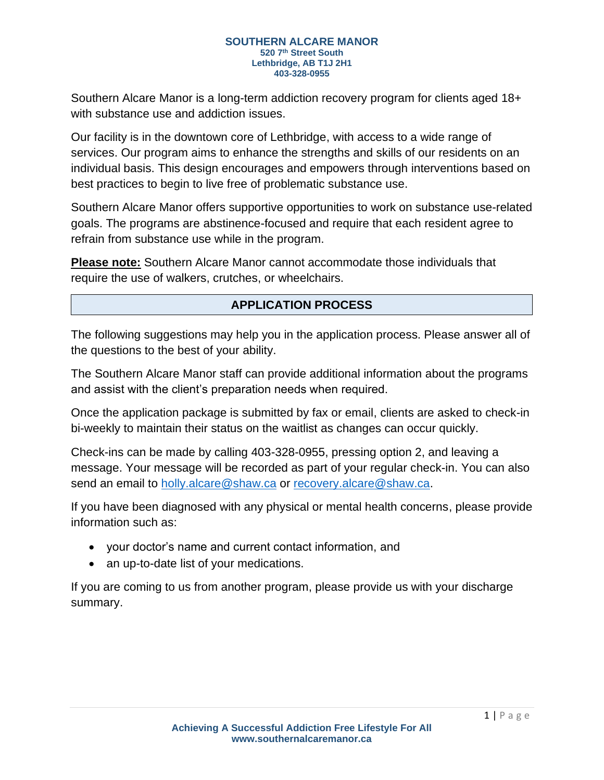Southern Alcare Manor is a long-term addiction recovery program for clients aged 18+ with substance use and addiction issues.

Our facility is in the downtown core of Lethbridge, with access to a wide range of services. Our program aims to enhance the strengths and skills of our residents on an individual basis. This design encourages and empowers through interventions based on best practices to begin to live free of problematic substance use.

Southern Alcare Manor offers supportive opportunities to work on substance use-related goals. The programs are abstinence-focused and require that each resident agree to refrain from substance use while in the program.

**Please note:** Southern Alcare Manor cannot accommodate those individuals that require the use of walkers, crutches, or wheelchairs.

# **APPLICATION PROCESS**

The following suggestions may help you in the application process. Please answer all of the questions to the best of your ability.

The Southern Alcare Manor staff can provide additional information about the programs and assist with the client's preparation needs when required.

Once the application package is submitted by fax or email, clients are asked to check-in bi-weekly to maintain their status on the waitlist as changes can occur quickly.

Check-ins can be made by calling 403-328-0955, pressing option 2, and leaving a message. Your message will be recorded as part of your regular check-in. You can also send an email to [holly.alcare@shaw.ca](mailto:holly.alcare@shaw.ca) or [recovery.alcare@shaw.ca.](mailto:recovery.alcare@shaw.ca)

If you have been diagnosed with any physical or mental health concerns, please provide information such as:

- your doctor's name and current contact information, and
- an up-to-date list of your medications.

If you are coming to us from another program, please provide us with your discharge summary.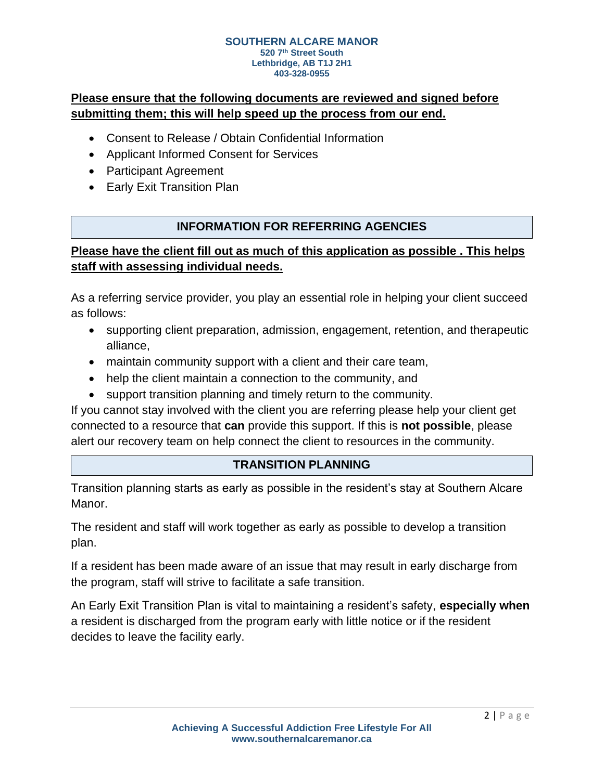# **Please ensure that the following documents are reviewed and signed before submitting them; this will help speed up the process from our end.**

- Consent to Release / Obtain Confidential Information
- Applicant Informed Consent for Services
- Participant Agreement
- Early Exit Transition Plan

## **INFORMATION FOR REFERRING AGENCIES**

# **Please have the client fill out as much of this application as possible . This helps staff with assessing individual needs.**

As a referring service provider, you play an essential role in helping your client succeed as follows:

- supporting client preparation, admission, engagement, retention, and therapeutic alliance,
- maintain community support with a client and their care team,
- help the client maintain a connection to the community, and
- support transition planning and timely return to the community.

If you cannot stay involved with the client you are referring please help your client get connected to a resource that **can** provide this support. If this is **not possible**, please alert our recovery team on help connect the client to resources in the community.

## **TRANSITION PLANNING**

Transition planning starts as early as possible in the resident's stay at Southern Alcare Manor.

The resident and staff will work together as early as possible to develop a transition plan.

If a resident has been made aware of an issue that may result in early discharge from the program, staff will strive to facilitate a safe transition.

An Early Exit Transition Plan is vital to maintaining a resident's safety, **especially when** a resident is discharged from the program early with little notice or if the resident decides to leave the facility early.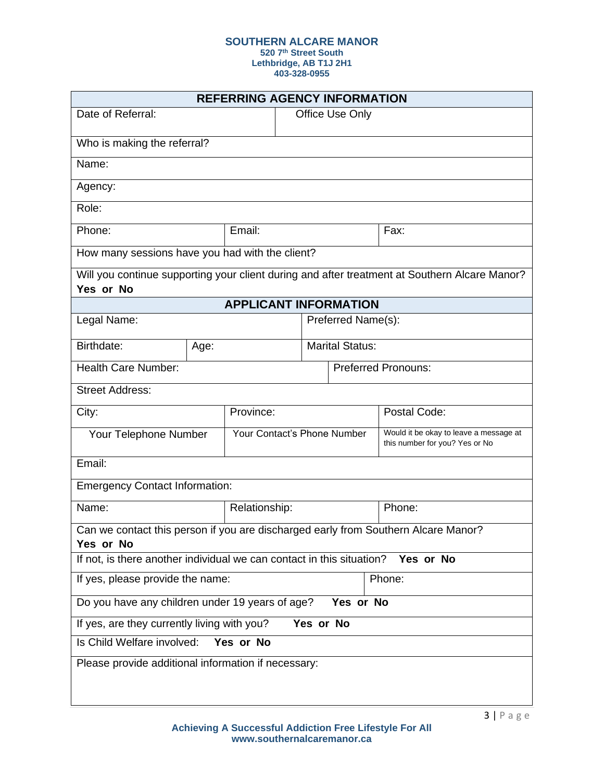**520 7th Street South**

**Lethbridge, AB T1J 2H1**

| <b>REFERRING AGENCY INFORMATION</b>                                                             |      |                              |                             |                            |                                                                                               |
|-------------------------------------------------------------------------------------------------|------|------------------------------|-----------------------------|----------------------------|-----------------------------------------------------------------------------------------------|
| Date of Referral:                                                                               |      |                              | Office Use Only             |                            |                                                                                               |
| Who is making the referral?                                                                     |      |                              |                             |                            |                                                                                               |
| Name:                                                                                           |      |                              |                             |                            |                                                                                               |
| Agency:                                                                                         |      |                              |                             |                            |                                                                                               |
| Role:                                                                                           |      |                              |                             |                            |                                                                                               |
| Phone:                                                                                          |      | Email:                       |                             |                            | Fax:                                                                                          |
| How many sessions have you had with the client?                                                 |      |                              |                             |                            |                                                                                               |
| Yes or No                                                                                       |      |                              |                             |                            | Will you continue supporting your client during and after treatment at Southern Alcare Manor? |
|                                                                                                 |      | <b>APPLICANT INFORMATION</b> |                             |                            |                                                                                               |
| Legal Name:                                                                                     |      |                              |                             | Preferred Name(s):         |                                                                                               |
| Birthdate:                                                                                      | Age: |                              |                             | <b>Marital Status:</b>     |                                                                                               |
| <b>Health Care Number:</b>                                                                      |      |                              |                             | <b>Preferred Pronouns:</b> |                                                                                               |
| <b>Street Address:</b>                                                                          |      |                              |                             |                            |                                                                                               |
| City:                                                                                           |      | Province:                    |                             |                            | Postal Code:                                                                                  |
| Your Telephone Number                                                                           |      |                              | Your Contact's Phone Number |                            | Would it be okay to leave a message at<br>this number for you? Yes or No                      |
| Email:                                                                                          |      |                              |                             |                            |                                                                                               |
| <b>Emergency Contact Information:</b>                                                           |      |                              |                             |                            |                                                                                               |
| Name:                                                                                           |      | Relationship:                |                             |                            | Phone:                                                                                        |
| Can we contact this person if you are discharged early from Southern Alcare Manor?<br>Yes or No |      |                              |                             |                            |                                                                                               |
| If not, is there another individual we can contact in this situation?<br>Yes or No              |      |                              |                             |                            |                                                                                               |
| If yes, please provide the name:<br>Phone:                                                      |      |                              |                             |                            |                                                                                               |
| Do you have any children under 19 years of age?<br>Yes or No                                    |      |                              |                             |                            |                                                                                               |
| If yes, are they currently living with you?<br>Yes or No                                        |      |                              |                             |                            |                                                                                               |
| Is Child Welfare involved:<br>Yes or No                                                         |      |                              |                             |                            |                                                                                               |
| Please provide additional information if necessary:                                             |      |                              |                             |                            |                                                                                               |
|                                                                                                 |      |                              |                             |                            |                                                                                               |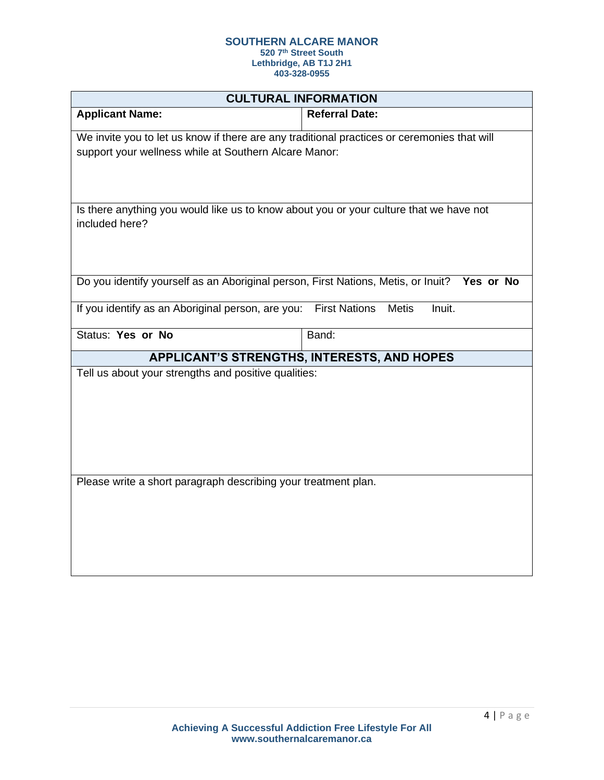**520 7th Street South Lethbridge, AB T1J 2H1**

|                                                                                                                                                      | <b>CULTURAL INFORMATION</b>                 |  |
|------------------------------------------------------------------------------------------------------------------------------------------------------|---------------------------------------------|--|
| <b>Applicant Name:</b>                                                                                                                               | <b>Referral Date:</b>                       |  |
| We invite you to let us know if there are any traditional practices or ceremonies that will<br>support your wellness while at Southern Alcare Manor: |                                             |  |
| Is there anything you would like us to know about you or your culture that we have not<br>included here?                                             |                                             |  |
| Do you identify yourself as an Aboriginal person, First Nations, Metis, or Inuit? Yes or No                                                          |                                             |  |
| If you identify as an Aboriginal person, are you: First Nations                                                                                      | <b>Metis</b><br>Inuit.                      |  |
| <b>Status: Yes or No</b>                                                                                                                             | Band:                                       |  |
|                                                                                                                                                      | APPLICANT'S STRENGTHS, INTERESTS, AND HOPES |  |
| Tell us about your strengths and positive qualities:                                                                                                 |                                             |  |
| Please write a short paragraph describing your treatment plan.                                                                                       |                                             |  |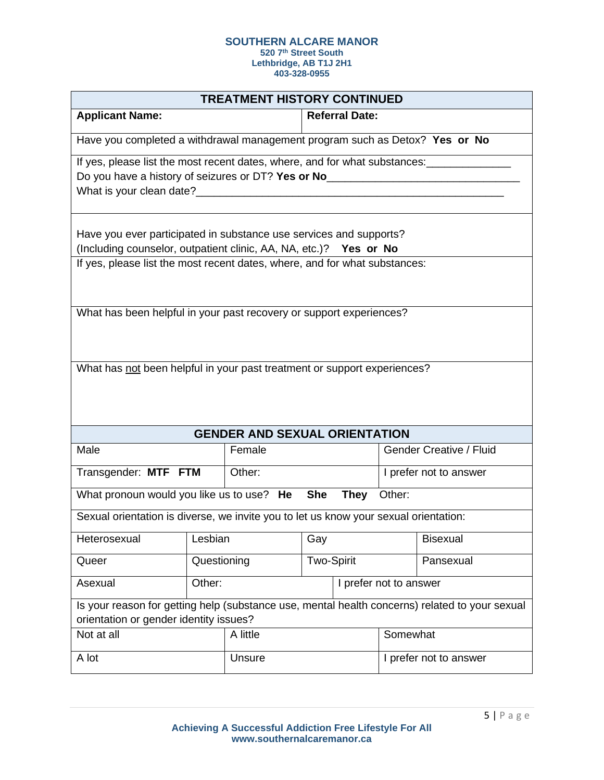**520 7th Street South**

**Lethbridge, AB T1J 2H1**

| <b>TREATMENT HISTORY CONTINUED</b>                                                                                                                             |                       |                                      |                        |                        |                        |                                |
|----------------------------------------------------------------------------------------------------------------------------------------------------------------|-----------------------|--------------------------------------|------------------------|------------------------|------------------------|--------------------------------|
| <b>Applicant Name:</b>                                                                                                                                         | <b>Referral Date:</b> |                                      |                        |                        |                        |                                |
| Have you completed a withdrawal management program such as Detox? Yes or No                                                                                    |                       |                                      |                        |                        |                        |                                |
| If yes, please list the most recent dates, where, and for what substances:<br>Do you have a history of seizures or DT? Yes or No______________________________ |                       |                                      |                        |                        |                        |                                |
| What is your clean date?<br><u> What is your clean date?</u>                                                                                                   |                       |                                      |                        |                        |                        |                                |
| Have you ever participated in substance use services and supports?                                                                                             |                       |                                      |                        |                        |                        |                                |
| (Including counselor, outpatient clinic, AA, NA, etc.)? Yes or No                                                                                              |                       |                                      |                        |                        |                        |                                |
| If yes, please list the most recent dates, where, and for what substances:                                                                                     |                       |                                      |                        |                        |                        |                                |
| What has been helpful in your past recovery or support experiences?                                                                                            |                       |                                      |                        |                        |                        |                                |
|                                                                                                                                                                |                       |                                      |                        |                        |                        |                                |
| What has not been helpful in your past treatment or support experiences?                                                                                       |                       |                                      |                        |                        |                        |                                |
|                                                                                                                                                                |                       |                                      |                        |                        |                        |                                |
|                                                                                                                                                                |                       |                                      |                        |                        |                        |                                |
|                                                                                                                                                                |                       | <b>GENDER AND SEXUAL ORIENTATION</b> |                        |                        |                        |                                |
| Male                                                                                                                                                           |                       | Female                               |                        |                        |                        | <b>Gender Creative / Fluid</b> |
| Transgender: MTF FTM                                                                                                                                           |                       | Other:                               |                        |                        | I prefer not to answer |                                |
| What pronoun would you like us to use? He                                                                                                                      |                       |                                      | <b>She</b>             | <b>They</b>            | Other:                 |                                |
| Sexual orientation is diverse, we invite you to let us know your sexual orientation:                                                                           |                       |                                      |                        |                        |                        |                                |
| Heterosexual                                                                                                                                                   | Lesbian               | Gay                                  |                        |                        | <b>Bisexual</b>        |                                |
| Queer                                                                                                                                                          |                       | <b>Two-Spirit</b><br>Questioning     |                        |                        | Pansexual              |                                |
| Asexual                                                                                                                                                        | Other:                |                                      | I prefer not to answer |                        |                        |                                |
| Is your reason for getting help (substance use, mental health concerns) related to your sexual<br>orientation or gender identity issues?                       |                       |                                      |                        |                        |                        |                                |
| Not at all                                                                                                                                                     |                       | A little                             | Somewhat               |                        |                        |                                |
| A lot                                                                                                                                                          | Unsure                |                                      |                        | I prefer not to answer |                        |                                |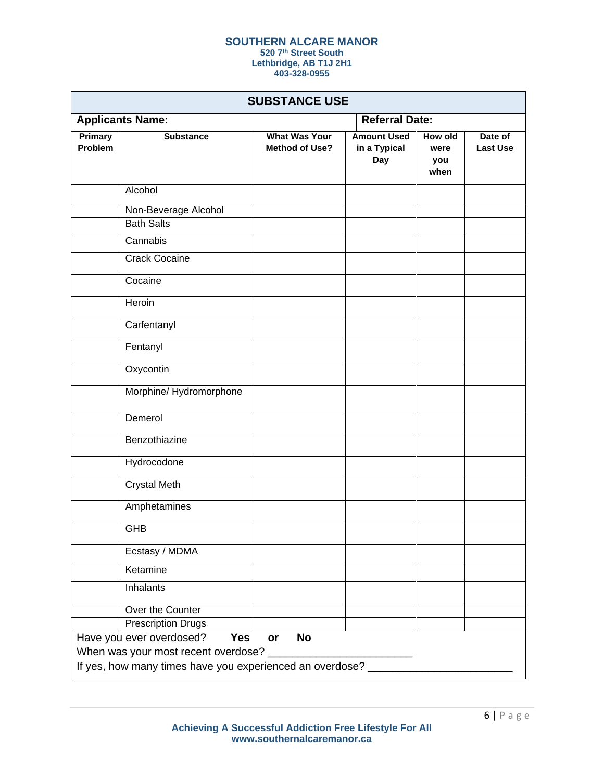### **SOUTHERN ALCARE MANOR 520 7th Street South**

**Lethbridge, AB T1J 2H1**

| <b>SUBSTANCE USE</b>                |                                                            |                                               |                                           |                                |                            |
|-------------------------------------|------------------------------------------------------------|-----------------------------------------------|-------------------------------------------|--------------------------------|----------------------------|
|                                     | <b>Applicants Name:</b>                                    |                                               | <b>Referral Date:</b>                     |                                |                            |
| Primary<br>Problem                  | <b>Substance</b>                                           | <b>What Was Your</b><br><b>Method of Use?</b> | <b>Amount Used</b><br>in a Typical<br>Day | How old<br>were<br>you<br>when | Date of<br><b>Last Use</b> |
|                                     | Alcohol                                                    |                                               |                                           |                                |                            |
|                                     | Non-Beverage Alcohol                                       |                                               |                                           |                                |                            |
|                                     | <b>Bath Salts</b>                                          |                                               |                                           |                                |                            |
|                                     | Cannabis                                                   |                                               |                                           |                                |                            |
|                                     | <b>Crack Cocaine</b>                                       |                                               |                                           |                                |                            |
|                                     | Cocaine                                                    |                                               |                                           |                                |                            |
|                                     | Heroin                                                     |                                               |                                           |                                |                            |
|                                     | Carfentanyl                                                |                                               |                                           |                                |                            |
|                                     | Fentanyl                                                   |                                               |                                           |                                |                            |
|                                     | Oxycontin                                                  |                                               |                                           |                                |                            |
|                                     | Morphine/Hydromorphone                                     |                                               |                                           |                                |                            |
|                                     | Demerol                                                    |                                               |                                           |                                |                            |
|                                     | Benzothiazine                                              |                                               |                                           |                                |                            |
|                                     | Hydrocodone                                                |                                               |                                           |                                |                            |
|                                     | <b>Crystal Meth</b>                                        |                                               |                                           |                                |                            |
|                                     | Amphetamines                                               |                                               |                                           |                                |                            |
|                                     | GHB                                                        |                                               |                                           |                                |                            |
|                                     | Ecstasy / MDMA                                             |                                               |                                           |                                |                            |
|                                     | Ketamine                                                   |                                               |                                           |                                |                            |
|                                     | Inhalants                                                  |                                               |                                           |                                |                            |
|                                     | Over the Counter                                           |                                               |                                           |                                |                            |
|                                     | <b>Prescription Drugs</b>                                  |                                               |                                           |                                |                            |
|                                     | Have you ever overdosed?<br>Yes                            | <b>No</b><br>or                               |                                           |                                |                            |
| When was your most recent overdose? |                                                            |                                               |                                           |                                |                            |
|                                     | If yes, how many times have you experienced an overdose? _ |                                               |                                           |                                |                            |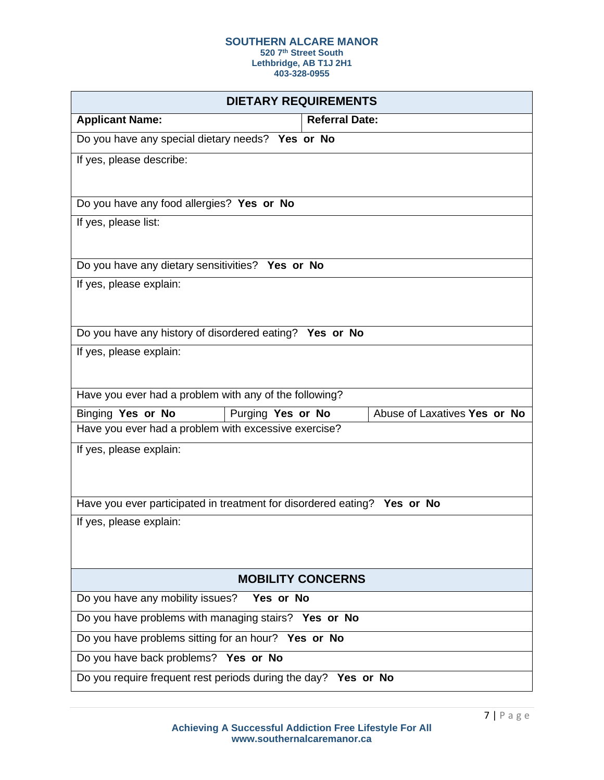**520 7th Street South**

**Lethbridge, AB T1J 2H1**

| <b>DIETARY REQUIREMENTS</b>                                              |                              |  |  |
|--------------------------------------------------------------------------|------------------------------|--|--|
| <b>Applicant Name:</b>                                                   | <b>Referral Date:</b>        |  |  |
| Do you have any special dietary needs? Yes or No                         |                              |  |  |
| If yes, please describe:                                                 |                              |  |  |
|                                                                          |                              |  |  |
| Do you have any food allergies? Yes or No                                |                              |  |  |
| If yes, please list:                                                     |                              |  |  |
|                                                                          |                              |  |  |
| Do you have any dietary sensitivities? Yes or No                         |                              |  |  |
| If yes, please explain:                                                  |                              |  |  |
|                                                                          |                              |  |  |
| Do you have any history of disordered eating? Yes or No                  |                              |  |  |
| If yes, please explain:                                                  |                              |  |  |
|                                                                          |                              |  |  |
| Have you ever had a problem with any of the following?                   |                              |  |  |
| Binging Yes or No<br>Purging Yes or No                                   | Abuse of Laxatives Yes or No |  |  |
| Have you ever had a problem with excessive exercise?                     |                              |  |  |
| If yes, please explain:                                                  |                              |  |  |
|                                                                          |                              |  |  |
| Have you ever participated in treatment for disordered eating? Yes or No |                              |  |  |
| If yes, please explain:                                                  |                              |  |  |
|                                                                          |                              |  |  |
|                                                                          |                              |  |  |
|                                                                          | <b>MOBILITY CONCERNS</b>     |  |  |
| Do you have any mobility issues? Yes or No                               |                              |  |  |
| Do you have problems with managing stairs? Yes or No                     |                              |  |  |
| Do you have problems sitting for an hour? Yes or No                      |                              |  |  |
| Do you have back problems? Yes or No                                     |                              |  |  |
| Do you require frequent rest periods during the day? Yes or No           |                              |  |  |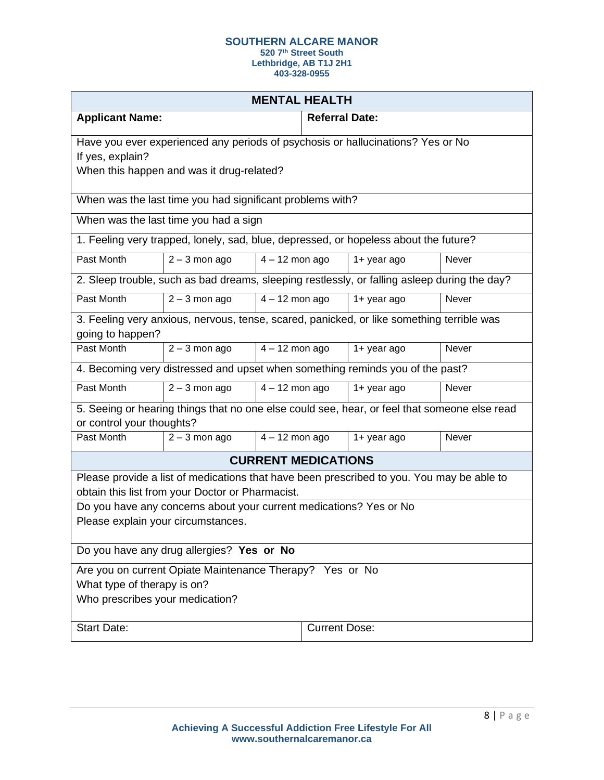**520 7th Street South Lethbridge, AB T1J 2H1**

| <b>MENTAL HEALTH</b>                                                                                                                          |                                                                                              |                            |                       |                |              |
|-----------------------------------------------------------------------------------------------------------------------------------------------|----------------------------------------------------------------------------------------------|----------------------------|-----------------------|----------------|--------------|
| <b>Applicant Name:</b>                                                                                                                        |                                                                                              |                            | <b>Referral Date:</b> |                |              |
|                                                                                                                                               | Have you ever experienced any periods of psychosis or hallucinations? Yes or No              |                            |                       |                |              |
| If yes, explain?                                                                                                                              |                                                                                              |                            |                       |                |              |
|                                                                                                                                               | When this happen and was it drug-related?                                                    |                            |                       |                |              |
|                                                                                                                                               | When was the last time you had significant problems with?                                    |                            |                       |                |              |
|                                                                                                                                               | When was the last time you had a sign                                                        |                            |                       |                |              |
|                                                                                                                                               | 1. Feeling very trapped, lonely, sad, blue, depressed, or hopeless about the future?         |                            |                       |                |              |
| Past Month                                                                                                                                    | $2 - 3$ mon ago                                                                              | $4 - 12$ mon ago           |                       | $1 +$ year ago | Never        |
|                                                                                                                                               | 2. Sleep trouble, such as bad dreams, sleeping restlessly, or falling asleep during the day? |                            |                       |                |              |
| Past Month                                                                                                                                    | $2 - 3$ mon ago                                                                              | $4 - 12$ mon ago           |                       | 1+ year ago    | Never        |
|                                                                                                                                               | 3. Feeling very anxious, nervous, tense, scared, panicked, or like something terrible was    |                            |                       |                |              |
| going to happen?<br>Past Month                                                                                                                |                                                                                              | $4 - 12$ mon ago           |                       |                | <b>Never</b> |
|                                                                                                                                               | $2 - 3$ mon ago                                                                              |                            |                       | 1+ year ago    |              |
|                                                                                                                                               | 4. Becoming very distressed and upset when something reminds you of the past?                |                            |                       |                |              |
| Past Month                                                                                                                                    | $2 - 3$ mon ago                                                                              | $4 - 12$ mon ago           |                       | 1+ year ago    | Never        |
| or control your thoughts?                                                                                                                     | 5. Seeing or hearing things that no one else could see, hear, or feel that someone else read |                            |                       |                |              |
| Past Month                                                                                                                                    | $2 - 3$ mon ago                                                                              | $4 - 12$ mon ago           |                       | 1+ year ago    | Never        |
|                                                                                                                                               |                                                                                              | <b>CURRENT MEDICATIONS</b> |                       |                |              |
| Please provide a list of medications that have been prescribed to you. You may be able to<br>obtain this list from your Doctor or Pharmacist. |                                                                                              |                            |                       |                |              |
| Do you have any concerns about your current medications? Yes or No                                                                            |                                                                                              |                            |                       |                |              |
| Please explain your circumstances.                                                                                                            |                                                                                              |                            |                       |                |              |
| Do you have any drug allergies? Yes or No                                                                                                     |                                                                                              |                            |                       |                |              |
| Are you on current Opiate Maintenance Therapy? Yes or No                                                                                      |                                                                                              |                            |                       |                |              |
| What type of therapy is on?                                                                                                                   |                                                                                              |                            |                       |                |              |
| Who prescribes your medication?                                                                                                               |                                                                                              |                            |                       |                |              |
| <b>Start Date:</b>                                                                                                                            |                                                                                              |                            | <b>Current Dose:</b>  |                |              |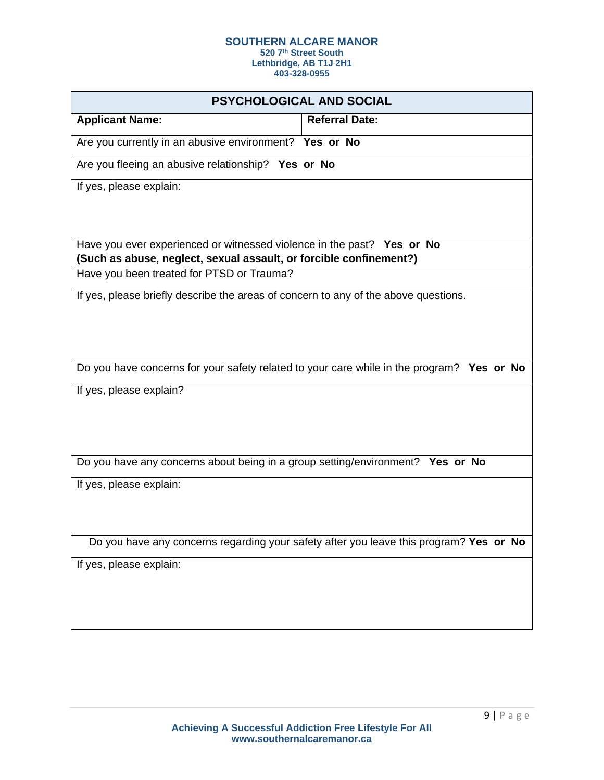**520 7th Street South**

**Lethbridge, AB T1J 2H1**

|                                                                                                                                              | PSYCHOLOGICAL AND SOCIAL                                                                  |
|----------------------------------------------------------------------------------------------------------------------------------------------|-------------------------------------------------------------------------------------------|
| <b>Applicant Name:</b>                                                                                                                       | <b>Referral Date:</b>                                                                     |
| Are you currently in an abusive environment? Yes or No                                                                                       |                                                                                           |
| Are you fleeing an abusive relationship? Yes or No                                                                                           |                                                                                           |
| If yes, please explain:                                                                                                                      |                                                                                           |
|                                                                                                                                              |                                                                                           |
|                                                                                                                                              |                                                                                           |
| Have you ever experienced or witnessed violence in the past? Yes or No<br>(Such as abuse, neglect, sexual assault, or forcible confinement?) |                                                                                           |
| Have you been treated for PTSD or Trauma?                                                                                                    |                                                                                           |
| If yes, please briefly describe the areas of concern to any of the above questions.                                                          |                                                                                           |
|                                                                                                                                              |                                                                                           |
|                                                                                                                                              |                                                                                           |
|                                                                                                                                              | Do you have concerns for your safety related to your care while in the program? Yes or No |
| If yes, please explain?                                                                                                                      |                                                                                           |
|                                                                                                                                              |                                                                                           |
|                                                                                                                                              |                                                                                           |
| Do you have any concerns about being in a group setting/environment? Yes or No                                                               |                                                                                           |
| If yes, please explain:                                                                                                                      |                                                                                           |
|                                                                                                                                              |                                                                                           |
|                                                                                                                                              |                                                                                           |
|                                                                                                                                              | Do you have any concerns regarding your safety after you leave this program? Yes or No    |
| If yes, please explain:                                                                                                                      |                                                                                           |
|                                                                                                                                              |                                                                                           |
|                                                                                                                                              |                                                                                           |
|                                                                                                                                              |                                                                                           |
|                                                                                                                                              |                                                                                           |
|                                                                                                                                              |                                                                                           |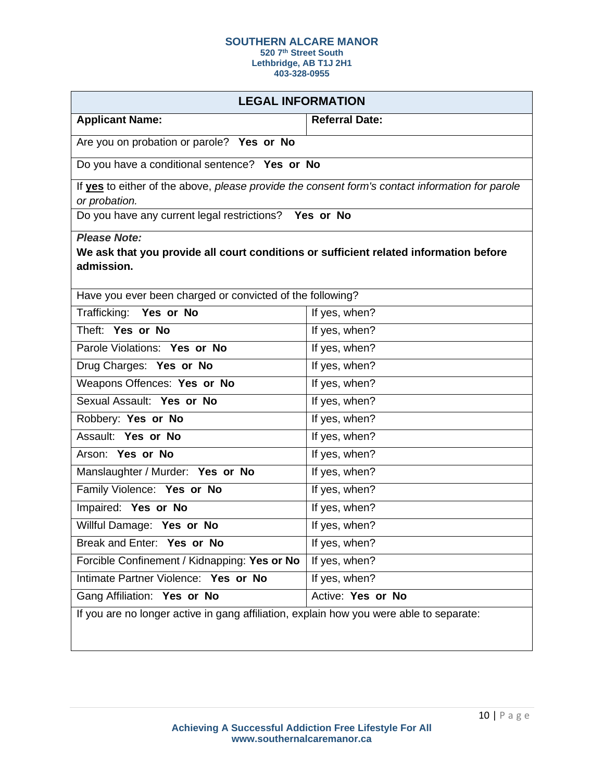**520 7th Street South Lethbridge, AB T1J 2H1**

| <b>LEGAL INFORMATION</b>                                                                                                   |                   |  |  |  |
|----------------------------------------------------------------------------------------------------------------------------|-------------------|--|--|--|
| <b>Applicant Name:</b><br><b>Referral Date:</b>                                                                            |                   |  |  |  |
| Are you on probation or parole? Yes or No                                                                                  |                   |  |  |  |
| Do you have a conditional sentence? Yes or No                                                                              |                   |  |  |  |
| If yes to either of the above, please provide the consent form's contact information for parole<br>or probation.           |                   |  |  |  |
| Do you have any current legal restrictions? Yes or No                                                                      |                   |  |  |  |
| <b>Please Note:</b><br>We ask that you provide all court conditions or sufficient related information before<br>admission. |                   |  |  |  |
| Have you ever been charged or convicted of the following?                                                                  |                   |  |  |  |
| Trafficking: Yes or No                                                                                                     | If yes, when?     |  |  |  |
| Theft: Yes or No                                                                                                           | If yes, when?     |  |  |  |
| Parole Violations: Yes or No                                                                                               | If yes, when?     |  |  |  |
| Drug Charges: Yes or No                                                                                                    | If yes, when?     |  |  |  |
| Weapons Offences: Yes or No                                                                                                | If yes, when?     |  |  |  |
| Sexual Assault: Yes or No                                                                                                  | If yes, when?     |  |  |  |
| Robbery: Yes or No                                                                                                         | If yes, when?     |  |  |  |
| Assault: Yes or No                                                                                                         | If yes, when?     |  |  |  |
| Arson: Yes or No                                                                                                           | If yes, when?     |  |  |  |
| Manslaughter / Murder: Yes or No                                                                                           | If yes, when?     |  |  |  |
| Family Violence: Yes or No                                                                                                 | If yes, when?     |  |  |  |
| Impaired: Yes or No                                                                                                        | If yes, when?     |  |  |  |
| Willful Damage: Yes or No                                                                                                  | If yes, when?     |  |  |  |
| Break and Enter: Yes or No                                                                                                 | If yes, when?     |  |  |  |
| Forcible Confinement / Kidnapping: Yes or No                                                                               | If yes, when?     |  |  |  |
| Intimate Partner Violence: Yes or No                                                                                       | If yes, when?     |  |  |  |
| Gang Affiliation: Yes or No                                                                                                | Active: Yes or No |  |  |  |
| If you are no longer active in gang affiliation, explain how you were able to separate:                                    |                   |  |  |  |
|                                                                                                                            |                   |  |  |  |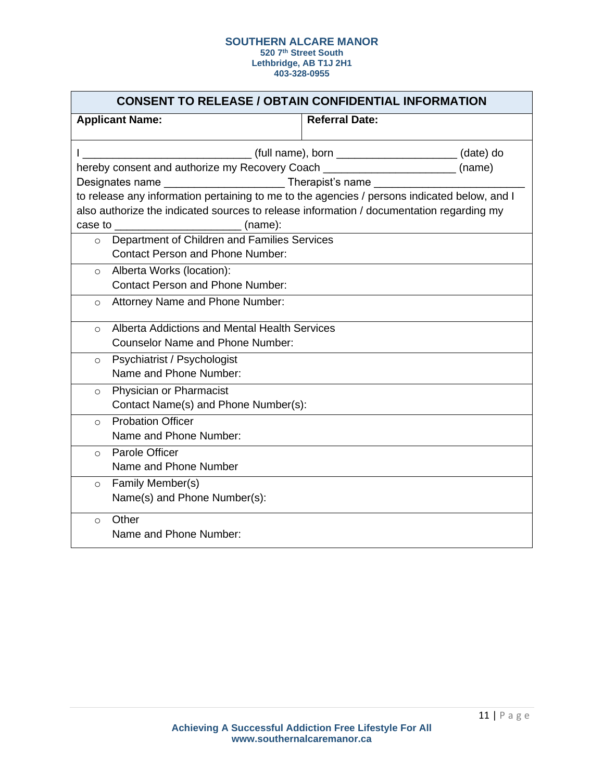|                                                                             | <b>CONSENT TO RELEASE / OBTAIN CONFIDENTIAL INFORMATION</b>                              |                       |                                                                                              |  |
|-----------------------------------------------------------------------------|------------------------------------------------------------------------------------------|-----------------------|----------------------------------------------------------------------------------------------|--|
| <b>Applicant Name:</b>                                                      |                                                                                          | <b>Referral Date:</b> |                                                                                              |  |
|                                                                             |                                                                                          |                       |                                                                                              |  |
|                                                                             | hereby consent and authorize my Recovery Coach __________________________(name)          |                       |                                                                                              |  |
|                                                                             |                                                                                          |                       |                                                                                              |  |
|                                                                             |                                                                                          |                       | to release any information pertaining to me to the agencies / persons indicated below, and I |  |
|                                                                             | also authorize the indicated sources to release information / documentation regarding my |                       |                                                                                              |  |
|                                                                             |                                                                                          |                       |                                                                                              |  |
| $\circ$                                                                     | Department of Children and Families Services                                             |                       |                                                                                              |  |
|                                                                             | <b>Contact Person and Phone Number:</b>                                                  |                       |                                                                                              |  |
| $\circ$                                                                     | Alberta Works (location):                                                                |                       |                                                                                              |  |
|                                                                             | <b>Contact Person and Phone Number:</b>                                                  |                       |                                                                                              |  |
| $\circ$                                                                     | Attorney Name and Phone Number:                                                          |                       |                                                                                              |  |
|                                                                             |                                                                                          |                       |                                                                                              |  |
| $\Omega$                                                                    | Alberta Addictions and Mental Health Services<br><b>Counselor Name and Phone Number:</b> |                       |                                                                                              |  |
|                                                                             |                                                                                          |                       |                                                                                              |  |
| $\circ$                                                                     | Psychiatrist / Psychologist<br>Name and Phone Number:                                    |                       |                                                                                              |  |
|                                                                             |                                                                                          |                       |                                                                                              |  |
| Physician or Pharmacist<br>$\Omega$<br>Contact Name(s) and Phone Number(s): |                                                                                          |                       |                                                                                              |  |
|                                                                             |                                                                                          |                       |                                                                                              |  |
|                                                                             | <b>Probation Officer</b><br>$\Omega$<br>Name and Phone Number:                           |                       |                                                                                              |  |
|                                                                             |                                                                                          |                       |                                                                                              |  |
|                                                                             | Parole Officer<br>$\Omega$<br>Name and Phone Number                                      |                       |                                                                                              |  |
|                                                                             |                                                                                          |                       |                                                                                              |  |
| Family Member(s)<br>$\circ$                                                 |                                                                                          |                       |                                                                                              |  |
|                                                                             | Name(s) and Phone Number(s):                                                             |                       |                                                                                              |  |
| Other<br>$\circ$                                                            |                                                                                          |                       |                                                                                              |  |
|                                                                             | Name and Phone Number:                                                                   |                       |                                                                                              |  |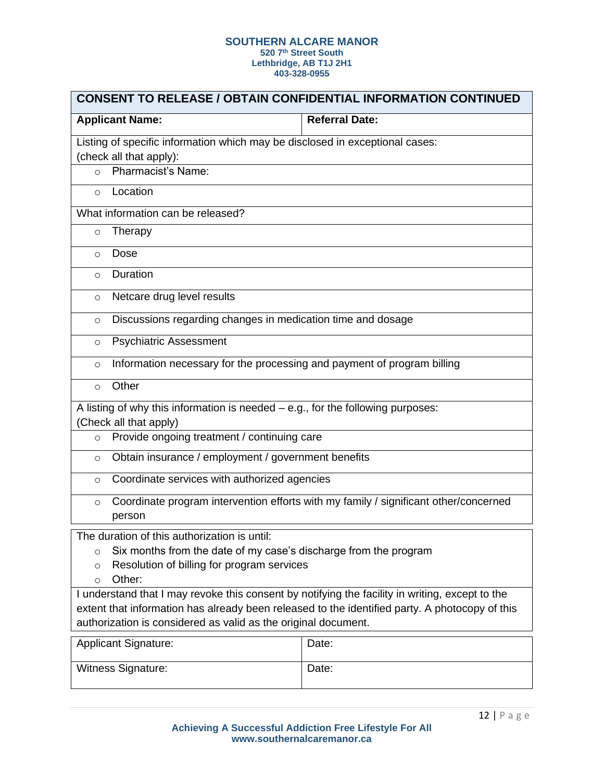| <b>CONSENT TO RELEASE / OBTAIN CONFIDENTIAL INFORMATION CONTINUED</b>                                                                                                                                                                                               |                       |  |  |  |
|---------------------------------------------------------------------------------------------------------------------------------------------------------------------------------------------------------------------------------------------------------------------|-----------------------|--|--|--|
| <b>Applicant Name:</b>                                                                                                                                                                                                                                              | <b>Referral Date:</b> |  |  |  |
| Listing of specific information which may be disclosed in exceptional cases:<br>(check all that apply):                                                                                                                                                             |                       |  |  |  |
| <b>Pharmacist's Name:</b><br>$\circ$                                                                                                                                                                                                                                |                       |  |  |  |
| Location<br>$\circ$                                                                                                                                                                                                                                                 |                       |  |  |  |
| What information can be released?                                                                                                                                                                                                                                   |                       |  |  |  |
| Therapy<br>$\circ$                                                                                                                                                                                                                                                  |                       |  |  |  |
| Dose<br>$\circ$                                                                                                                                                                                                                                                     |                       |  |  |  |
| Duration<br>$\circ$                                                                                                                                                                                                                                                 |                       |  |  |  |
| Netcare drug level results<br>$\circ$                                                                                                                                                                                                                               |                       |  |  |  |
| Discussions regarding changes in medication time and dosage<br>$\circ$                                                                                                                                                                                              |                       |  |  |  |
| <b>Psychiatric Assessment</b><br>$\circ$                                                                                                                                                                                                                            |                       |  |  |  |
| Information necessary for the processing and payment of program billing<br>$\circ$                                                                                                                                                                                  |                       |  |  |  |
| Other<br>$\Omega$                                                                                                                                                                                                                                                   |                       |  |  |  |
| A listing of why this information is needed $-$ e.g., for the following purposes:                                                                                                                                                                                   |                       |  |  |  |
| (Check all that apply)<br>Provide ongoing treatment / continuing care<br>$\circ$                                                                                                                                                                                    |                       |  |  |  |
| Obtain insurance / employment / government benefits<br>$\circ$                                                                                                                                                                                                      |                       |  |  |  |
| Coordinate services with authorized agencies<br>$\circ$                                                                                                                                                                                                             |                       |  |  |  |
| Coordinate program intervention efforts with my family / significant other/concerned<br>$\circ$<br>person                                                                                                                                                           |                       |  |  |  |
| The duration of this authorization is until:<br>Six months from the date of my case's discharge from the program<br>$\circ$<br>Resolution of billing for program services<br>$\circ$<br>Other:<br>$\circ$                                                           |                       |  |  |  |
| I understand that I may revoke this consent by notifying the facility in writing, except to the<br>extent that information has already been released to the identified party. A photocopy of this<br>authorization is considered as valid as the original document. |                       |  |  |  |
| <b>Applicant Signature:</b>                                                                                                                                                                                                                                         | Date:                 |  |  |  |
| <b>Witness Signature:</b>                                                                                                                                                                                                                                           | Date:                 |  |  |  |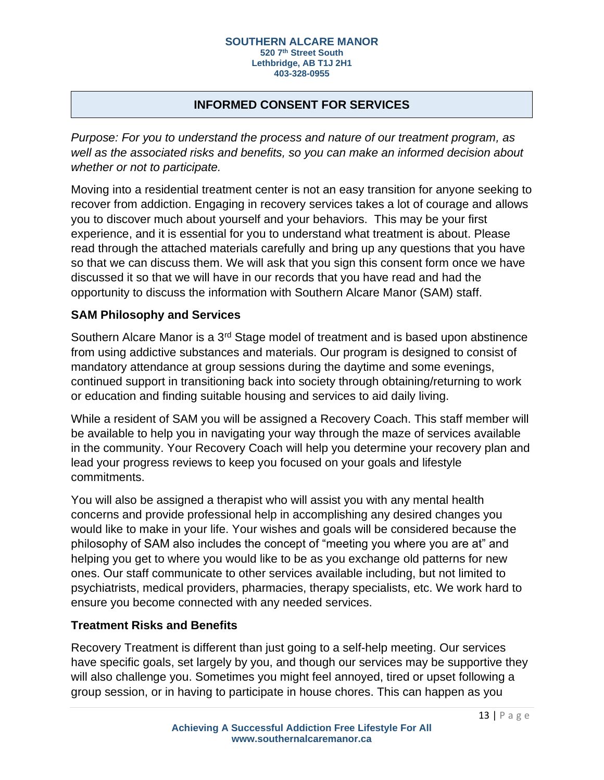# **INFORMED CONSENT FOR SERVICES**

*Purpose: For you to understand the process and nature of our treatment program, as well as the associated risks and benefits, so you can make an informed decision about whether or not to participate.*

Moving into a residential treatment center is not an easy transition for anyone seeking to recover from addiction. Engaging in recovery services takes a lot of courage and allows you to discover much about yourself and your behaviors. This may be your first experience, and it is essential for you to understand what treatment is about. Please read through the attached materials carefully and bring up any questions that you have so that we can discuss them. We will ask that you sign this consent form once we have discussed it so that we will have in our records that you have read and had the opportunity to discuss the information with Southern Alcare Manor (SAM) staff.

### **SAM Philosophy and Services**

Southern Alcare Manor is a 3<sup>rd</sup> Stage model of treatment and is based upon abstinence from using addictive substances and materials. Our program is designed to consist of mandatory attendance at group sessions during the daytime and some evenings, continued support in transitioning back into society through obtaining/returning to work or education and finding suitable housing and services to aid daily living.

While a resident of SAM you will be assigned a Recovery Coach. This staff member will be available to help you in navigating your way through the maze of services available in the community. Your Recovery Coach will help you determine your recovery plan and lead your progress reviews to keep you focused on your goals and lifestyle commitments.

You will also be assigned a therapist who will assist you with any mental health concerns and provide professional help in accomplishing any desired changes you would like to make in your life. Your wishes and goals will be considered because the philosophy of SAM also includes the concept of "meeting you where you are at" and helping you get to where you would like to be as you exchange old patterns for new ones. Our staff communicate to other services available including, but not limited to psychiatrists, medical providers, pharmacies, therapy specialists, etc. We work hard to ensure you become connected with any needed services.

## **Treatment Risks and Benefits**

Recovery Treatment is different than just going to a self-help meeting. Our services have specific goals, set largely by you, and though our services may be supportive they will also challenge you. Sometimes you might feel annoyed, tired or upset following a group session, or in having to participate in house chores. This can happen as you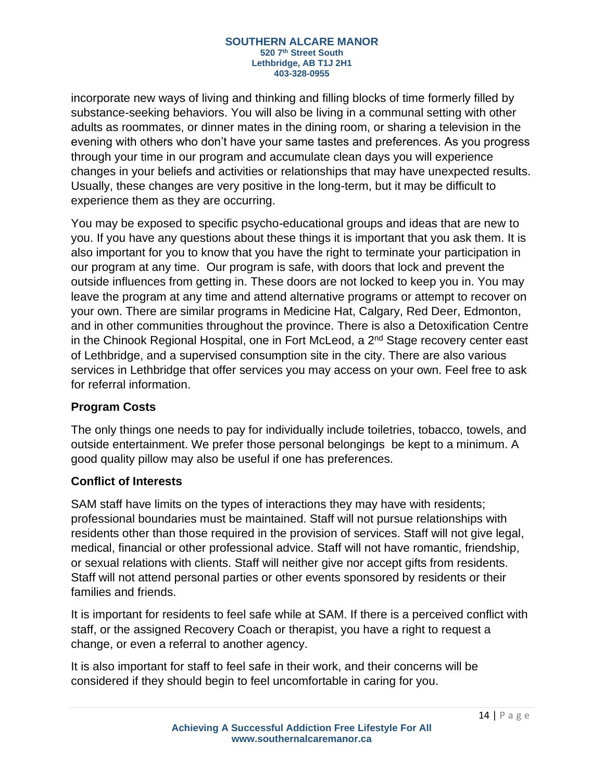incorporate new ways of living and thinking and filling blocks of time formerly filled by substance-seeking behaviors. You will also be living in a communal setting with other adults as roommates, or dinner mates in the dining room, or sharing a television in the evening with others who don't have your same tastes and preferences. As you progress through your time in our program and accumulate clean days you will experience changes in your beliefs and activities or relationships that may have unexpected results. Usually, these changes are very positive in the long-term, but it may be difficult to experience them as they are occurring.

You may be exposed to specific psycho-educational groups and ideas that are new to you. If you have any questions about these things it is important that you ask them. It is also important for you to know that you have the right to terminate your participation in our program at any time. Our program is safe, with doors that lock and prevent the outside influences from getting in. These doors are not locked to keep you in. You may leave the program at any time and attend alternative programs or attempt to recover on your own. There are similar programs in Medicine Hat, Calgary, Red Deer, Edmonton, and in other communities throughout the province. There is also a Detoxification Centre in the Chinook Regional Hospital, one in Fort McLeod, a  $2<sup>nd</sup>$  Stage recovery center east of Lethbridge, and a supervised consumption site in the city. There are also various services in Lethbridge that offer services you may access on your own. Feel free to ask for referral information.

# **Program Costs**

The only things one needs to pay for individually include toiletries, tobacco, towels, and outside entertainment. We prefer those personal belongings be kept to a minimum. A good quality pillow may also be useful if one has preferences.

## **Conflict of Interests**

SAM staff have limits on the types of interactions they may have with residents; professional boundaries must be maintained. Staff will not pursue relationships with residents other than those required in the provision of services. Staff will not give legal, medical, financial or other professional advice. Staff will not have romantic, friendship, or sexual relations with clients. Staff will neither give nor accept gifts from residents. Staff will not attend personal parties or other events sponsored by residents or their families and friends.

It is important for residents to feel safe while at SAM. If there is a perceived conflict with staff, or the assigned Recovery Coach or therapist, you have a right to request a change, or even a referral to another agency.

It is also important for staff to feel safe in their work, and their concerns will be considered if they should begin to feel uncomfortable in caring for you.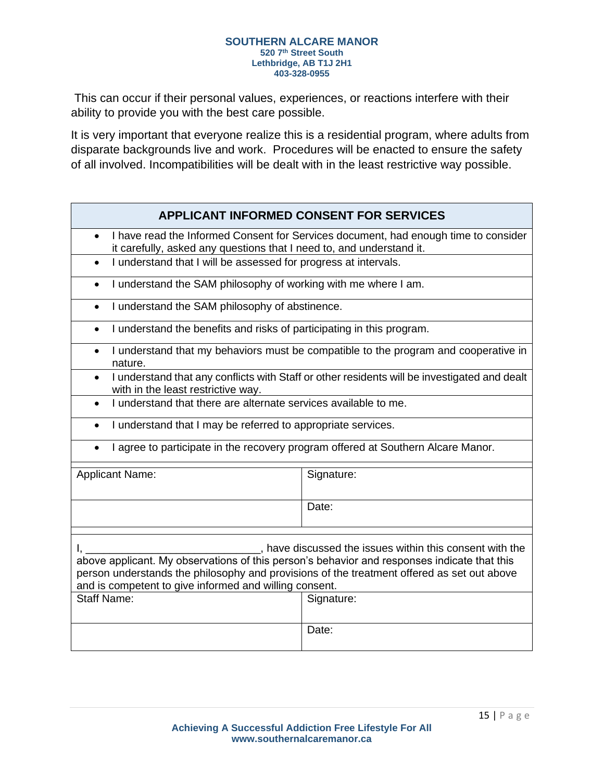This can occur if their personal values, experiences, or reactions interfere with their ability to provide you with the best care possible.

It is very important that everyone realize this is a residential program, where adults from disparate backgrounds live and work. Procedures will be enacted to ensure the safety of all involved. Incompatibilities will be dealt with in the least restrictive way possible.

# **APPLICANT INFORMED CONSENT FOR SERVICES**

- I have read the Informed Consent for Services document, had enough time to consider it carefully, asked any questions that I need to, and understand it.
- I understand that I will be assessed for progress at intervals.
- I understand the SAM philosophy of working with me where I am.
- I understand the SAM philosophy of abstinence.
- I understand the benefits and risks of participating in this program.
- I understand that my behaviors must be compatible to the program and cooperative in nature.
- I understand that any conflicts with Staff or other residents will be investigated and dealt with in the least restrictive way.
- I understand that there are alternate services available to me.
- I understand that I may be referred to appropriate services.
- I agree to participate in the recovery program offered at Southern Alcare Manor.

| <b>Applicant Name:</b>                                                                                                                                                                                                                                                                                        | Signature: |  |
|---------------------------------------------------------------------------------------------------------------------------------------------------------------------------------------------------------------------------------------------------------------------------------------------------------------|------------|--|
|                                                                                                                                                                                                                                                                                                               | Date:      |  |
|                                                                                                                                                                                                                                                                                                               |            |  |
| have discussed the issues within this consent with the<br>above applicant. My observations of this person's behavior and responses indicate that this<br>person understands the philosophy and provisions of the treatment offered as set out above<br>and is competent to give informed and willing consent. |            |  |
| <b>Staff Name:</b>                                                                                                                                                                                                                                                                                            | Signature: |  |
|                                                                                                                                                                                                                                                                                                               | Date:      |  |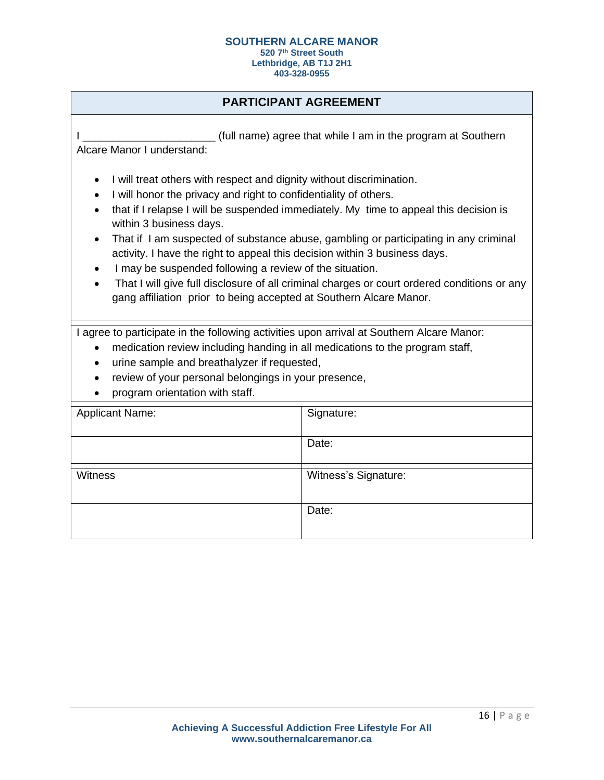**403-328-0955**

# **PARTICIPANT AGREEMENT**

I Letter that while I am in the program at Southern in the program at Southern Alcare Manor I understand:

- I will treat others with respect and dignity without discrimination.
- I will honor the privacy and right to confidentiality of others.
- that if I relapse I will be suspended immediately. My time to appeal this decision is within 3 business days.
- That if I am suspected of substance abuse, gambling or participating in any criminal activity. I have the right to appeal this decision within 3 business days.
- I may be suspended following a review of the situation.
- That I will give full disclosure of all criminal charges or court ordered conditions or any gang affiliation prior to being accepted at Southern Alcare Manor.

I agree to participate in the following activities upon arrival at Southern Alcare Manor:

- medication review including handing in all medications to the program staff,
- urine sample and breathalyzer if requested,
- review of your personal belongings in your presence,
- program orientation with staff.

| <b>Applicant Name:</b> | Signature:           |
|------------------------|----------------------|
|                        |                      |
|                        |                      |
|                        | Date:                |
|                        |                      |
|                        |                      |
|                        |                      |
| Witness                | Witness's Signature: |
|                        |                      |
|                        |                      |
|                        |                      |
|                        | Date:                |
|                        |                      |
|                        |                      |
|                        |                      |